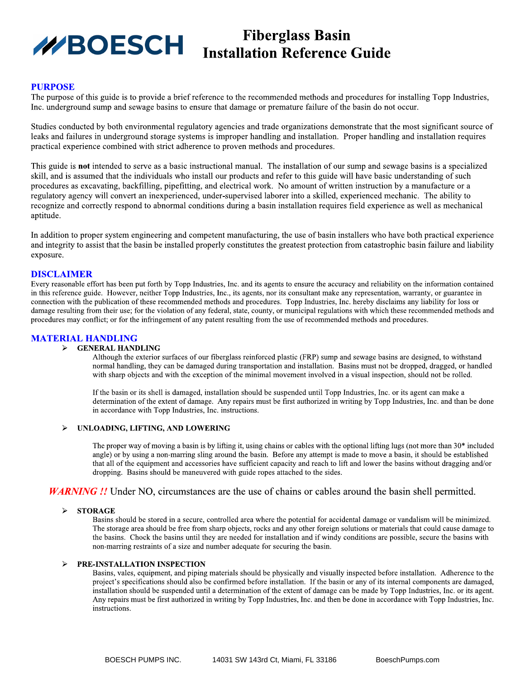# **BOESCH** Installation Reference Guide

### **PURPOSE**

The purpose of this guide is to provide a brief reference to the recommended methods and procedures for installing Topp Industries, Inc. underground sump and sewage basins to ensure that damage or premature failure of the basin do not occur.

Studies conducted by both environmental regulatory agencies and trade organizations demonstrate that the most significant source of leaks and failures in underground storage systems is improper handling and installation. Proper handling and installation requires practical experience combined with strict adherence to proven methods and procedures.

This guide is **not** intended to serve as a basic instructional manual. The installation of our sump and sewage basins is a specialized skill, and is assumed that the individuals who install our products and refer to this guide will have basic understanding of such procedures as excavating, backfilling, pipefitting, and electrical work. No amount of written instruction by a manufacture or a regulatory agency will convert an inexperienced, under-supervised laborer into a skilled, experienced mechanic. The ability to recognize and correctly respond to abnormal conditions during a basin installation requires field experience as well as mechanical aptitude.

In addition to proper system engineering and competent manufacturing, the use of basin installers who have both practical experience and integrity to assist that the basin be installed properly constitutes the greatest protection from catastrophic basin failure and liability exposure.

#### **DISCLAIMER**

Every reasonable effort has been put forth by Topp Industries, Inc. and its agents to ensure the accuracy and reliability on the information contained in this reference guide. However, neither Topp Industries, Inc., its agents, nor its consultant make any representation, warranty, or guarantee in connection with the publication of these recommended methods and procedures. Topp Industries, Inc. hereby disclaims any liability for loss or damage resulting from their use; for the violation of any federal, state, county, or municipal regulations with which these recommended methods and procedures may conflict; or for the infringement of any patent resulting from the use of recommended methods and procedures.

#### **MATERIAL HANDLING**

#### > GENERAL HANDLING

Although the exterior surfaces of our fiberglass reinforced plastic (FRP) sump and sewage basins are designed, to withstand normal handling, they can be damaged during transportation and installation. Basins must not be dropped, dragged, or handled with sharp objects and with the exception of the minimal movement involved in a visual inspection, should not be rolled.

If the basin or its shell is damaged, installation should be suspended until Topp Industries, Inc. or its agent can make a determination of the extent of damage. Any repairs must be first authorized in writing by Topp Industries, Inc. and than be done in accordance with Topp Industries, Inc. instructions.

#### UNLOADING, LIFTING, AND LOWERING

The proper way of moving a basin is by lifting it, using chains or cables with the optional lifting lugs (not more than 30\* included angle) or by using a non-marring sling around the basin. Before any attempt is made to move a basin, it should be established that all of the equipment and accessories have sufficient capacity and reach to lift and lower the basins without dragging and/or dropping. Basins should be maneuvered with guide ropes attached to the sides.

# **WARNING** !! Under NO, circumstances are the use of chains or cables around the basin shell permitted.

#### $\blacktriangleright$ **STORAGE**

Basins should be stored in a secure, controlled area where the potential for accidental damage or vandalism will be minimized. The storage area should be free from sharp objects, rocks and any other foreign solutions or materials that could cause damage to the basins. Chock the basins until they are needed for installation and if windy conditions are possible, secure the basins with non-marring restraints of a size and number adequate for securing the basin.

#### PRE-INSTALLATION INSPECTION

Basins, vales, equipment, and piping materials should be physically and visually inspected before installation. Adherence to the project's specifications should also be confirmed before installation. If the basin or any of its internal components are damaged, installation should be suspended until a determination of the extent of damage can be made by Topp Industries, Inc. or its agent. Any repairs must be first authorized in writing by Topp Industries, Inc. and then be done in accordance with Topp Industries, Inc. instructions.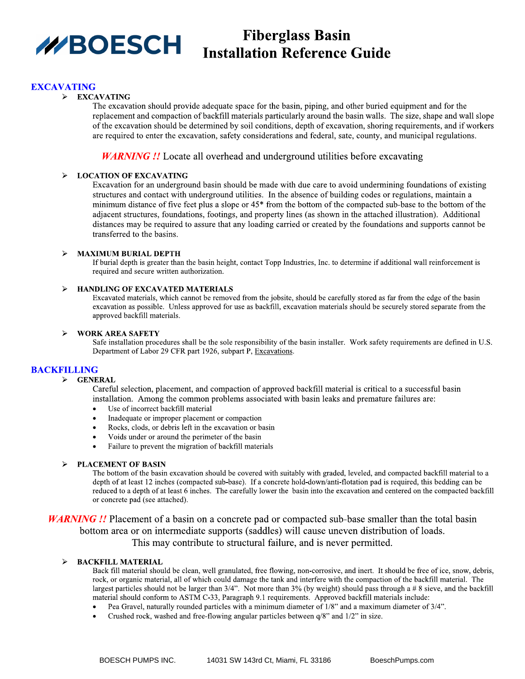

# **Fiberglass Basin BOESCH** Installation Reference Guide

## **EXCAVATING**

#### $\triangleright$  EXCAVATING

The excavation should provide adequate space for the basin, piping, and other buried equipment and for the replacement and compaction of backfill materials particularly around the basin walls. The size, shape and wall slope of the excavation should be determined by soil conditions, depth of excavation, shoring requirements, and if workers are required to enter the excavation, safety considerations and federal, sate, county, and municipal regulations.

## **WARNING** !! Locate all overhead and underground utilities before excavating

#### **LOCATION OF EXCAVATING**  $\blacktriangleright$

Excavation for an underground basin should be made with due care to avoid undermining foundations of existing structures and contact with underground utilities. In the absence of building codes or regulations, maintain a minimum distance of five feet plus a slope or  $45*$  from the bottom of the compacted sub-base to the bottom of the adjacent structures, foundations, footings, and property lines (as shown in the attached illustration). Additional distances may be required to assure that any loading carried or created by the foundations and supports cannot be transferred to the basins.

#### $\blacktriangleright$ **MAXIMUM BURIAL DEPTH**

If burial depth is greater than the basin height, contact Topp Industries, Inc. to determine if additional wall reinforcement is required and secure written authorization.

#### **HANDLING OF EXCAVATED MATERIALS**  $\blacktriangleright$

Excavated materials, which cannot be removed from the jobsite, should be carefully stored as far from the edge of the basin excavation as possible. Unless approved for use as backfill, excavation materials should be securely stored separate from the approved backfill materials.

#### **WORK AREA SAFETY**

Safe installation procedures shall be the sole responsibility of the basin installer. Work safety requirements are defined in U.S. Department of Labor 29 CFR part 1926, subpart P, Excavations.

#### **BACKFILLING**

#### $\triangleright$  GENERAL

Careful selection, placement, and compaction of approved backfill material is critical to a successful basin installation. Among the common problems associated with basin leaks and premature failures are:

- Use of incorrect backfill material
- Inadequate or improper placement or compaction
- Rocks, clods, or debris left in the excavation or basin  $\bullet$
- Voids under or around the perimeter of the basin
- Failure to prevent the migration of backfill materials

#### **PLACEMENT OF BASIN**

The bottom of the basin excavation should be covered with suitably with graded, leveled, and compacted backfill material to a depth of at least 12 inches (compacted sub-base). If a concrete hold-down/anti-flotation pad is required, this bedding can be reduced to a depth of at least 6 inches. The carefully lower the basin into the excavation and centered on the compacted backfill or concrete pad (see attached).

**WARNING** !! Placement of a basin on a concrete pad or compacted sub-base smaller than the total basin bottom area or on intermediate supports (saddles) will cause uneven distribution of loads. This may contribute to structural failure, and is never permitted.

#### **BACKFILL MATERIAL**  $\blacktriangleright$

Back fill material should be clean, well granulated, free flowing, non-corrosive, and inert. It should be free of ice, snow, debris, rock, or organic material, all of which could damage the tank and interfere with the compaction of the backfill material. The largest particles should not be larger than  $3/4$ ". Not more than  $3\%$  (by weight) should pass through a # 8 sieve, and the backfill material should conform to ASTM C-33, Paragraph 9.1 requirements. Approved backfill materials include:

- Pea Gravel, naturally rounded particles with a minimum diameter of 1/8" and a maximum diameter of 3/4".
- Crushed rock, washed and free-flowing angular particles between  $q/8$ " and  $1/2$ " in size.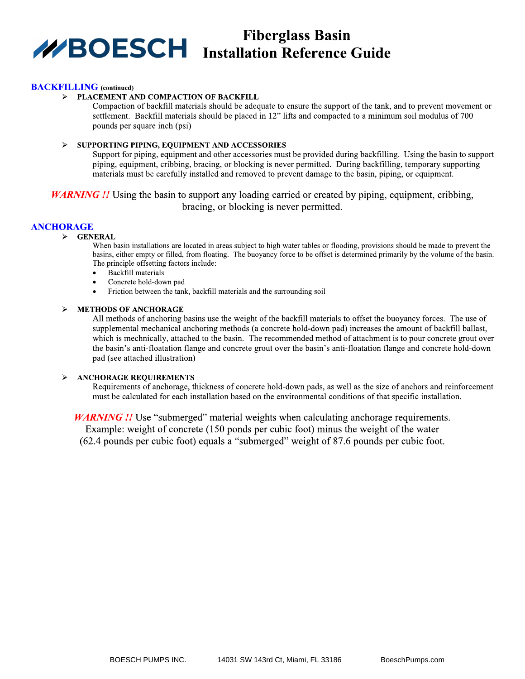# **Fiberglass Basin WBOESCH** Installation Reference Guide

#### **BACKFILLING** (continued)

#### PLACEMENT AND COMPACTION OF BACKFILL

Compaction of backfill materials should be adequate to ensure the support of the tank, and to prevent movement or settlement. Backfill materials should be placed in 12" lifts and compacted to a minimum soil modulus of 700 pounds per square inch (psi)

#### SUPPORTING PIPING, EQUIPMENT AND ACCESSORIES

Support for piping, equipment and other accessories must be provided during backfilling. Using the basin to support piping, equipment, cribbing, bracing, or blocking is never permitted. During backfilling, temporary supporting materials must be carefully installed and removed to prevent damage to the basin, piping, or equipment.

**WARNING!!** Using the basin to support any loading carried or created by piping, equipment, cribbing, bracing, or blocking is never permitted.

# **ANCHORAGE**

#### $\triangleright$  GENERAL

When basin installations are located in areas subject to high water tables or flooding, provisions should be made to prevent the basins, either empty or filled, from floating. The buoyancy force to be offset is determined primarily by the volume of the basin. The principle offsetting factors include:

- Backfill materials
- Concrete hold-down pad  $\bullet$
- $\ddot{\phantom{0}}$ Friction between the tank, backfill materials and the surrounding soil

#### **METHODS OF ANCHORAGE**

All methods of anchoring basins use the weight of the backfill materials to offset the buoyancy forces. The use of supplemental mechanical anchoring methods (a concrete hold-down pad) increases the amount of backfill ballast, which is mechnically, attached to the basin. The recommended method of attachment is to pour concrete grout over the basin's anti-floatation flange and concrete grout over the basin's anti-floatation flange and concrete hold-down pad (see attached illustration)

#### **ANCHORAGE REQUIREMENTS**

Requirements of anchorage, thickness of concrete hold-down pads, as well as the size of anchors and reinforcement must be calculated for each installation based on the environmental conditions of that specific installation.

**WARNING !!** Use "submerged" material weights when calculating anchorage requirements. Example: weight of concrete (150 ponds per cubic foot) minus the weight of the water (62.4 pounds per cubic foot) equals a "submerged" weight of 87.6 pounds per cubic foot.